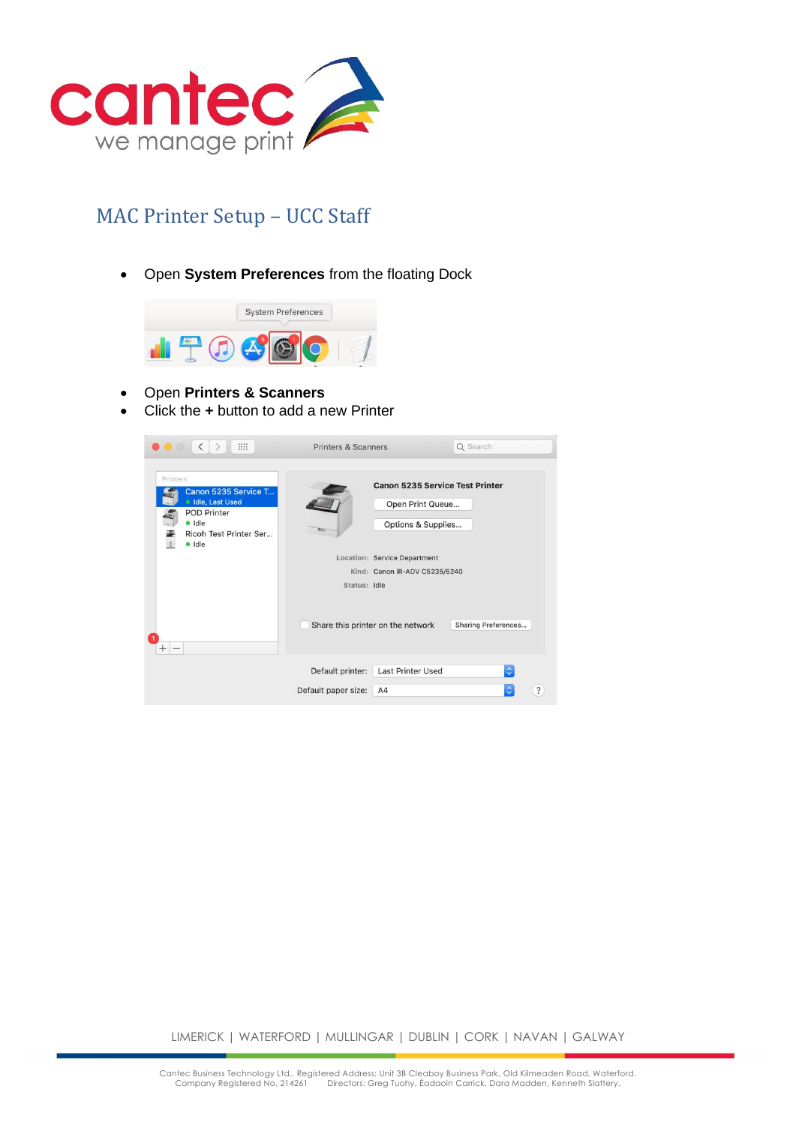

## MAC Printer Setup – UCC Staff

• Open **System Preferences** from the floating Dock



- Open **Printers & Scanners**
- Click the **+** button to add a new Printer

| m<br>$\langle$<br>$\circ$ $\circ$                                                                                         | <b>Printers &amp; Scanners</b> |                                                                                                                                                                                        | Q Search            |            |
|---------------------------------------------------------------------------------------------------------------------------|--------------------------------|----------------------------------------------------------------------------------------------------------------------------------------------------------------------------------------|---------------------|------------|
| Printers<br>Canon 5235 Service T<br>· Idle, Last Used<br><b>POD Printer</b><br>· Idle<br>Ricoh Test Printer Ser<br>· Idle | Status: Idle                   | <b>Canon 5235 Service Test Printer</b><br>Open Print Queue<br>Options & Supplies<br>Location: Service Department<br>Kind: Canon iR-ADV C5235/5240<br>Share this printer on the network | Sharing Preferences |            |
|                                                                                                                           | Default printer:               | <b>Last Printer Used</b>                                                                                                                                                               | $ \hat{\phi} $      |            |
|                                                                                                                           | Default paper size:            | A4                                                                                                                                                                                     | $\Diamond$          | $\ddot{?}$ |

LIMERICK | WATERFORD | MULLINGAR | DUBLIN | CORK | NAVAN | GALWAY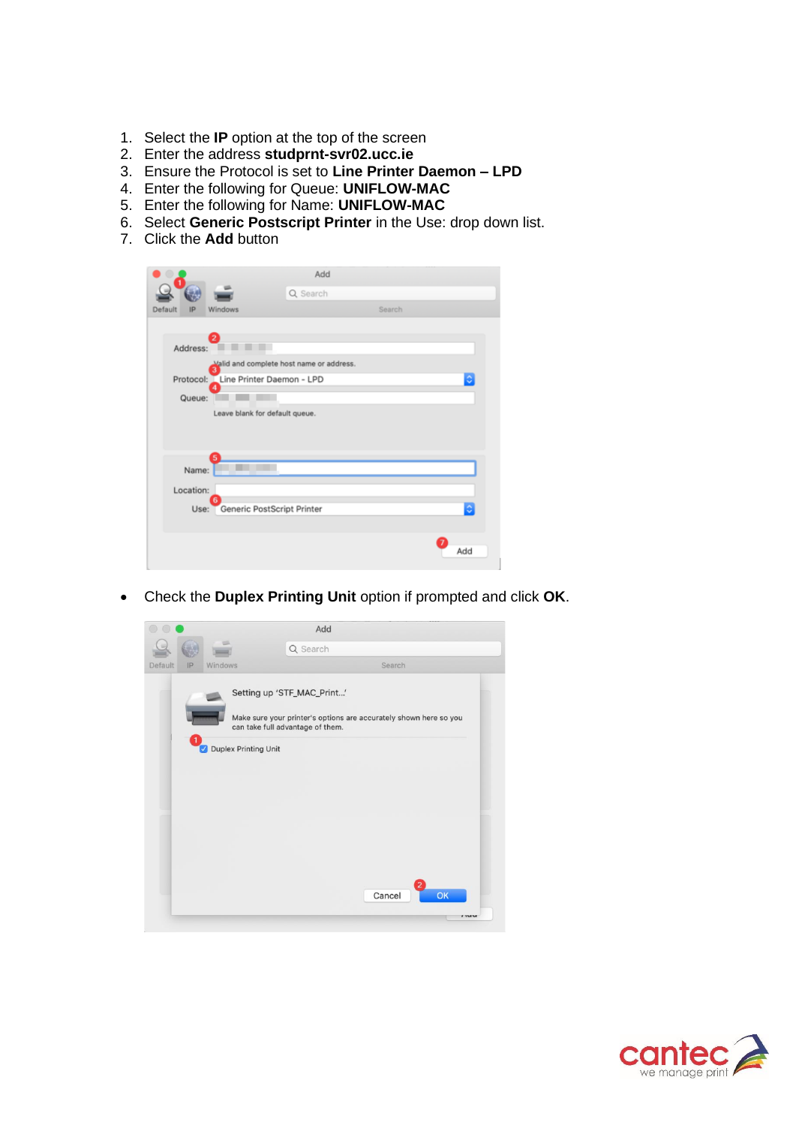- 1. Select the **IP** option at the top of the screen
- 2. Enter the address **studprnt-svr02.ucc.ie**
- 3. Ensure the Protocol is set to **Line Printer Daemon – LPD**
- 4. Enter the following for Queue: **UNIFLOW-MAC**
- 5. Enter the following for Name: **UNIFLOW-MAC**
- 6. Select **Generic Postscript Printer** in the Use: drop down list.
- 7. Click the **Add** button

|               |                                     | Add                                      |        |     |  |  |
|---------------|-------------------------------------|------------------------------------------|--------|-----|--|--|
|               |                                     | Q Search                                 |        |     |  |  |
| Default<br>IP | Windows                             |                                          | Search |     |  |  |
|               |                                     |                                          |        |     |  |  |
| Address:      |                                     |                                          |        |     |  |  |
|               |                                     | Valid and complete host name or address. |        |     |  |  |
|               | Protocol: Line Printer Daemon - LPD |                                          |        | ٥   |  |  |
| Queue:        |                                     |                                          |        |     |  |  |
|               | Leave blank for default queue.      |                                          |        |     |  |  |
|               |                                     |                                          |        |     |  |  |
|               |                                     |                                          |        |     |  |  |
|               | 5<br>Name:                          |                                          |        |     |  |  |
|               |                                     |                                          |        |     |  |  |
| Location:     | 6                                   |                                          |        |     |  |  |
|               | Use: Generic PostScript Printer     |                                          |        | ¢   |  |  |
|               |                                     |                                          |        |     |  |  |
|               |                                     |                                          |        | Add |  |  |
|               |                                     |                                          |        |     |  |  |

• Check the **Duplex Printing Unit** option if prompted and click **OK**.